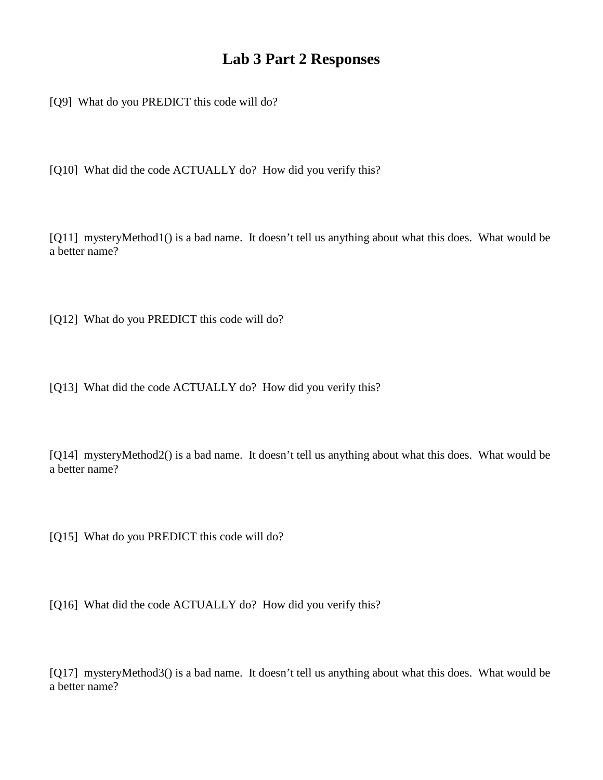## **Lab 3 Part 2 Responses**

[Q9] What do you PREDICT this code will do?

[Q10] What did the code ACTUALLY do? How did you verify this?

[Q11] mysteryMethod1() is a bad name. It doesn't tell us anything about what this does. What would be a better name?

[Q12] What do you PREDICT this code will do?

[Q13] What did the code ACTUALLY do? How did you verify this?

[Q14] mysteryMethod2() is a bad name. It doesn't tell us anything about what this does. What would be a better name?

[Q15] What do you PREDICT this code will do?

[Q16] What did the code ACTUALLY do? How did you verify this?

[Q17] mysteryMethod3() is a bad name. It doesn't tell us anything about what this does. What would be a better name?